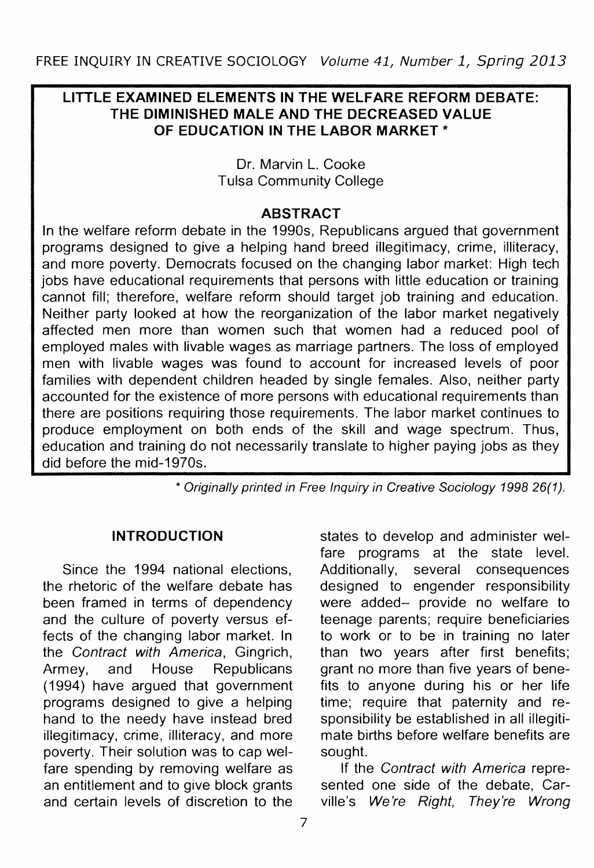# **LITTLE EXAMINED ELEMENTS IN THE WELFARE REFORM DEBATE: THE DIMINISHED MALE AND THE DECREASED VALUE OF EDUCATION IN THE LABOR MARKET\***

## Dr. Marvin L. Cooke Tulsa Community College

### **ABSTRACT**

In the welfare reform debate in the 1990s, Republicans argued that government programs designed to give a helping hand breed illegitimacy, crime, illiteracy, and more poverty. Democrats focused on the changing labor market: High tech jobs have educational requirements that persons with little education or training cannot fill; therefore, welfare reform should target job training and education. Neither party looked at how the reorganization of the labor market negatively affected men more than women such that women had a reduced pool of employed males with livable wages as marriage partners. The loss of employed men with livable wages was found to account for increased levels of poor families with dependent children headed by single females. Also, neither party accounted for the existence of more persons with educational requirements than there are positions requiring those requirements. The labor market continues to produce employment on both ends of the skill and wage spectrum. Thus, education and training do not necessarily translate to higher paying jobs as they did before the mid-1970s.

\* Originally printed in Free Inquiry in Creative Sociology 1998 26(1).

# **INTRODUCTION**

Since the 1994 national elections, the rhetoric of the welfare debate has been framed in terms of dependency and the culture of poverty versus effects of the changing labor market. In the Contract with America, Gingrich, Armey, and House Republicans (1994) have argued that government programs designed to give a helping hand to the needy have instead bred illegitimacy, crime, illiteracy, and more poverty. Their solution was to cap welfare spending by removing welfare as an entitlement and to give block grants and certain levels of discretion to the

states to develop and administer welfare programs at the state level. Additionally, several consequences designed to engender responsibility were added- provide no welfare to teenage parents; require beneficiaries to work or to be in training no later than two years after first benefits; grant no more than five years of benefits to anyone during his or her life time; require that paternity and responsibility be established in all illegitimate births before welfare benefits are sought.

If the Contract with America represented one side of the debate, Carville's We're Right, They're Wrong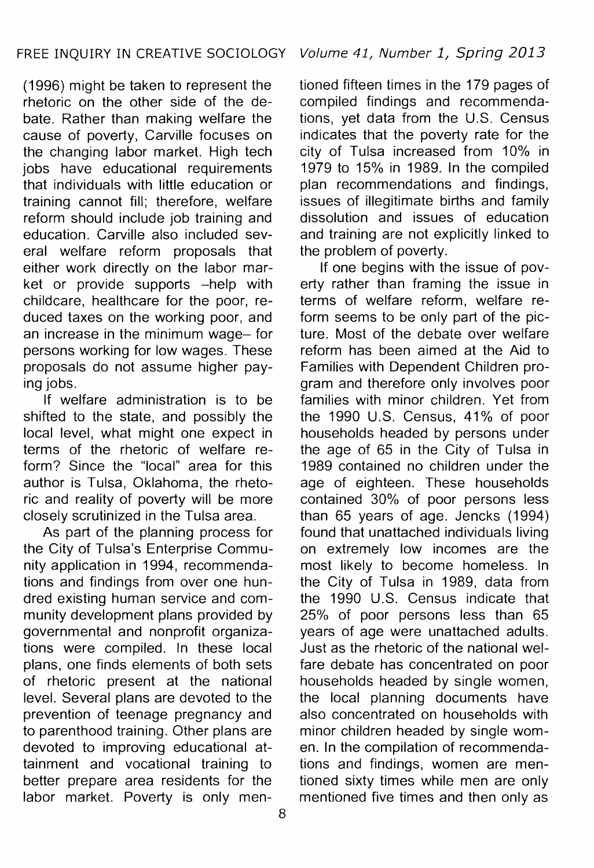(1996) might be taken to represent the rhetoric on the other side of the debate. Rather than making welfare the cause of poverty, Carville focuses on the changing labor market. High tech jobs have educational requirements that individuals with little education or training cannot fill; therefore, welfare reform should include job training and education. Carville also included several welfare reform proposals that either work directly on the labor market or provide supports -help with childcare, healthcare for the poor, reduced taxes on the working poor, and an increase in the minimum wage- for persons working for low wages. These proposals do not assume higher paying jobs.

If welfare administration is to be shifted to the state, and possibly the local level, what might one expect in terms of the rhetoric of welfare reform? Since the "local" area for this author is Tulsa, Oklahoma, the rhetoric and reality of poverty will be more closely scrutinized in the Tulsa area.

As part of the planning process for the City of Tulsa's Enterprise Community application in 1994, recommendations and findings from over one hundred existing human service and community development plans provided by governmental and nonprofit organizations were compiled. In these local plans, one finds elements of both sets of rhetoric present at the national level. Several plans are devoted to the prevention of teenage pregnancy and to parenthood training. Other plans are devoted to improving educational attainment and vocational training to better prepare area residents for the labor market. Poverty is only men-

tioned fifteen times in the 179 pages of compiled findings and recommendations, yet data from the U.S. Census indicates that the poverty rate for the city of Tulsa increased from 10% in 1979 to 15% in 1989. In the compiled plan recommendations and findings, issues of illegitimate births and family dissolution and issues of education and training are not explicitly linked to the problem of poverty.

If one begins with the issue of poverty rather than framing the issue in terms of welfare reform, welfare reform seems to be only part of the picture. Most of the debate over welfare reform has been aimed at the Aid to Families with Dependent Children program and therefore only involves poor families with minor children. Yet from the 1990 U.S. Census, 41% of poor households headed by persons under the age of 65 in the City of Tulsa in 1989 contained no children under the age of eighteen. These households contained 30% of poor persons less than 65 years of age. Jencks (1994) found that unattached individuals living on extremely low incomes are the most likely to become homeless. In the City of Tulsa in 1989, data from the 1990 U.S. Census indicate that 25% of poor persons less than 65 years of age were unattached adults. Just as the rhetoric of the national welfare debate has concentrated on poor households headed by single women, the local planning documents have also concentrated on households with minor children headed by single women. In the compilation of recommendations and findings, women are mentioned sixty times while men are only mentioned five times and then only as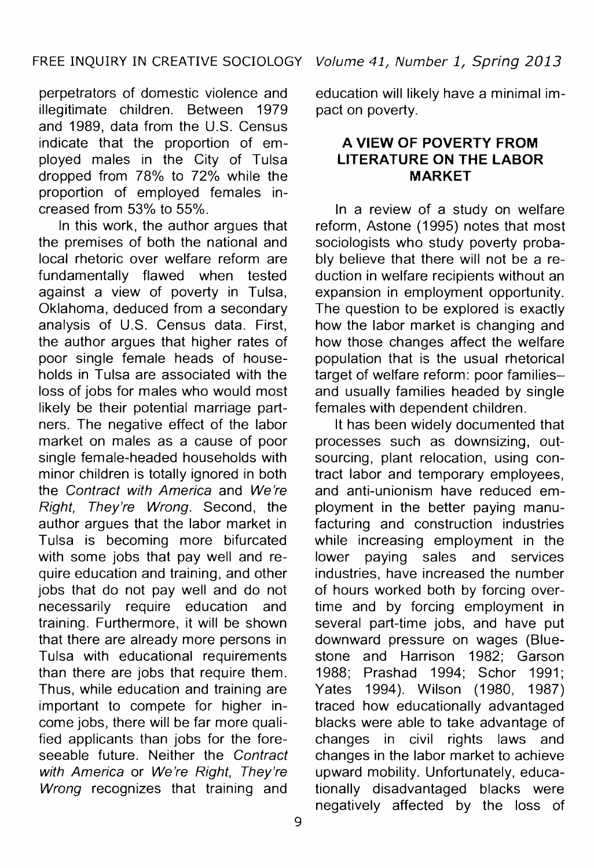perpetrators of domestic violence and illegitimate children. Between 1979 and 1989, data from the U.S. Census indicate that the proportion of employed males in the City of Tulsa dropped from 78% to 72% while the proportion of employed females increased from 53% to 55%.

In this work, the author argues that the premises of both the national and local rhetoric over welfare reform are fundamentally flawed when tested against a view of poverty in Tulsa, Oklahoma, deduced from a secondary analysis of U.S. Census data. First, the author argues that higher rates of poor single female heads of households in Tulsa are associated with the loss of jobs for males who would most likely be their potential marriage partners. The negative effect of the labor market on males as a cause of poor single female-headed households with minor children is totally ignored in both the Contract with America and We're Right, They're Wrong. Second, the author argues that the labor market in Tulsa is becoming more bifurcated with some jobs that pay well and require education and training, and other jobs that do not pay well and do not necessarily require education and training. Furthermore, it will be shown that there are already more persons in Tulsa with educational requirements than there are jobs that require them. Thus, while education and training are important to compete for higher income jobs, there will be far more qualified applicants than jobs for the foreseeable future. Neither the Contract with America or We're Right, They're Wrong recognizes that training and education will likely have a minimal impact on poverty.

# **A VIEW OF POVERTY FROM LITERATURE ON THE LABOR MARKET**

In a review of a study on welfare reform, Astone (1995) notes that most sociologists who study poverty probably believe that there will not be a reduction in welfare recipients without an expansion in employment opportunity. The question to be explored is exactly how the labor market is changing and how those changes affect the welfare population that is the usual rhetorical target of welfare reform: poor familiesand usually families headed by single females with dependent children.

It has been widely documented that processes such as downsizing, outsourcing, plant relocation, using contract labor and temporary employees, and anti-unionism have reduced employment in the better paying manufacturing and construction industries while increasing employment in the lower paying sales and services industries, have increased the number of hours worked both by forcing overtime and by forcing employment in several part-time jobs, and have put downward pressure on wages (Bluestone and Harrison 1982; Garson 1988; Prashad 1994; Schor 1991; Yates 1994). Wilson (1980, 1987). traced how educationally advantaged blacks were able to take advantage of changes in civil rights laws and changes in the labor market to achieve upward mobility. Unfortunately, educationally disadvantaged blacks were negatively affected by the loss of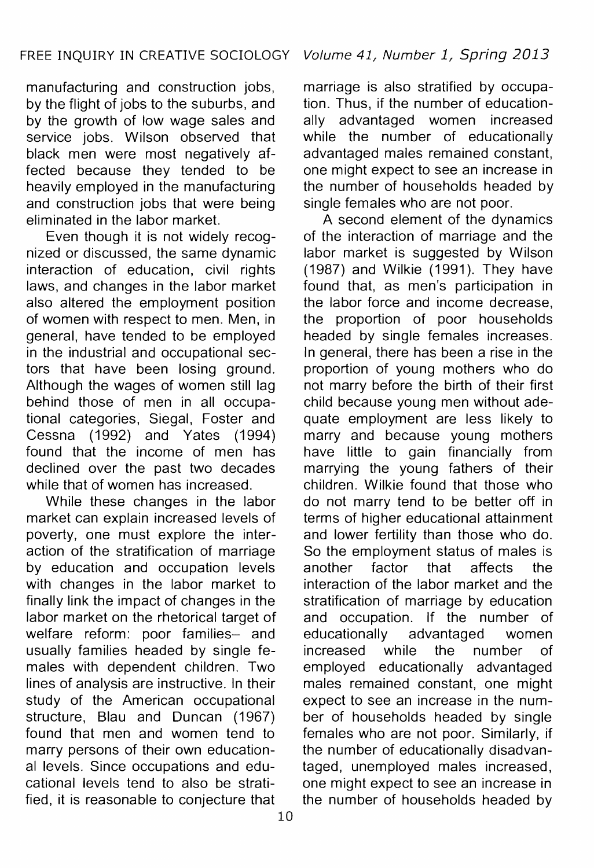manufacturing and construction jobs, by the flight of jobs to the suburbs, and by the growth of low wage sales and service jobs. Wilson observed that black men were most negatively affected because they tended to be heavily employed in the manufacturing and construction jobs that were being eliminated in the labor market.

Even though it is not widely recognized or discussed, the same dynamic interaction of education, civil rights laws, and changes in the labor market also altered the employment position of women with respect to men. Men, in general, have tended to be employed in the industrial and occupational sectors that have been losing ground. Although the wages of women still lag behind those of men in all occupational categories, Siegal, Foster and Cessna (1992) and Yates (1994) found that the income of men has declined over the past two decades while that of women has increased.

While these changes in the labor market can explain increased levels of poverty, one must explore the interaction of the stratification of marriage by education and occupation levels with changes in the labor market to finally link the impact of changes in the labor market on the rhetorical target of welfare reform: poor families- and usually families headed by single females with dependent children. Two lines of analysis are instructive. In their study of the American occupational structure, Blau and Duncan (1967) found that men and women tend to marry persons of their own educational levels. Since occupations and educational levels tend to also be stratified, it is reasonable to conjecture that

marriage is also stratified by occupation. Thus, if the number of educationally advantaged women increased while the number of educationally advantaged males remained constant, one might expect to see an increase in the number of households headed by single females who are not poor.

A second element of the dynamics of the interaction of marriage and the labor market is suggested by Wilson  $(1987)$  and Wilkie  $(1991)$ . They have found that, as men's participation in the labor force and income decrease, the proportion of poor households headed by single females increases. In general, there has been a rise in the proportion of young mothers who do not marry before the birth of their first child because young men without adequate employment are less likely to marry and because young mothers have little to gain financially from marrying the young fathers of their children. Wilkie found that those who do not marry tend to be better off in terms of higher educational attainment and lower fertility than those who do. So the employment status of males is another factor that affects the interaction of the labor market and the stratification of marriage by education and occupation. If the number of educationally advantaged women increased while the number of employed educationally advantaged males remained constant, one might expect to see an increase in the number of households headed by single females who are not poor. Similarly, if the number of educationally disadvantaged, unemployed males increased, one might expect to see an increase in the number of households headed by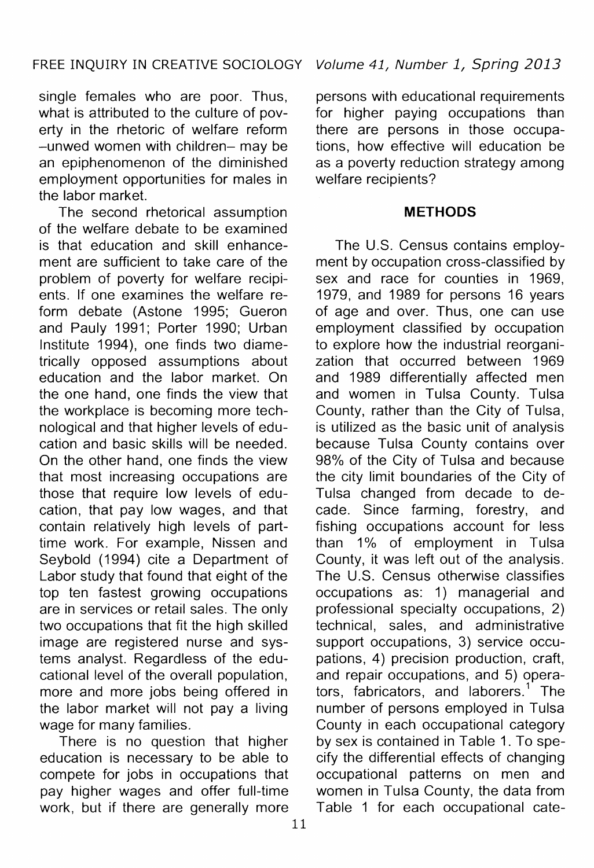single females who are poor. Thus, what is attributed to the culture of poverty in the rhetoric of welfare reform -unwed women with children- may be an epiphenomenon of the diminished employment opportunities for males in the labor market.

The second rhetorical assumption of the welfare debate to be examined is that education and skill enhancement are sufficient to take care of the problem of poverty for welfare recipients. If one examines the welfare reform debate (Astone 1995; Gueron and Pauly 1991; Porter 1990; Urban Institute 1994), one finds two diametrically opposed assumptions about education and the labor market. On the one hand, one finds the view that the workplace is becoming more technological and that higher levels of education and basic skills will be needed. On the other hand, one finds the view that most increasing occupations are those that require low levels of education, that pay low wages, and that contain relatively high levels of parttime work. For example, Nissen and Seybold (1994) cite a Department of Labor study that found that eight of the top ten fastest growing occupations are in services or retail sales. The only two occupations that fit the high skilled image are registered nurse and systems analyst. Regardless of the educational level of the overall population, more and more jobs being offered in the labor market will not pay a living wage for many families.

There is no question that higher education is necessary to be able to compete for jobs in occupations that pay higher wages and offer full-time work, but if there are generally more

persons with educational requirements for higher paying occupations than there are persons in those occupations, how effective will education be as a poverty reduction strategy among welfare recipients?

#### **METHODS**

The U.S. Census contains employment by occupation cross-classified by sex and race for counties in 1969, 1979, and 1989 for persons 16 years of age and over. Thus, one can use employment classified by occupation to explore how the industrial reorganization that occurred between 1969 and 1989 differentially affected men and women in Tulsa County. Tulsa County, rather than the City of Tulsa, is utilized as the basic unit of analysis because Tulsa County contains over 98% of the City of Tulsa and because the city limit boundaries of the City of Tulsa changed from decade to decade. Since farming, forestry, and fishing occupations account for less than 1% of employment in Tulsa County, it was left out of the analysis. The U.S. Census otherwise classifies occupations as: 1) managerial and professional specialty occupations, 2) technical, sales, and administrative support occupations, 3) service occupations, 4) precision production, craft, and repair occupations, and 5) operators, fabricators, and laborers.<sup>1</sup> The number of persons employed in Tulsa County in each occupational category by sex is contained in Table 1. To specify the differential effects of changing occupational patterns on men and women in Tulsa County, the data from Table 1 for each occupational cate-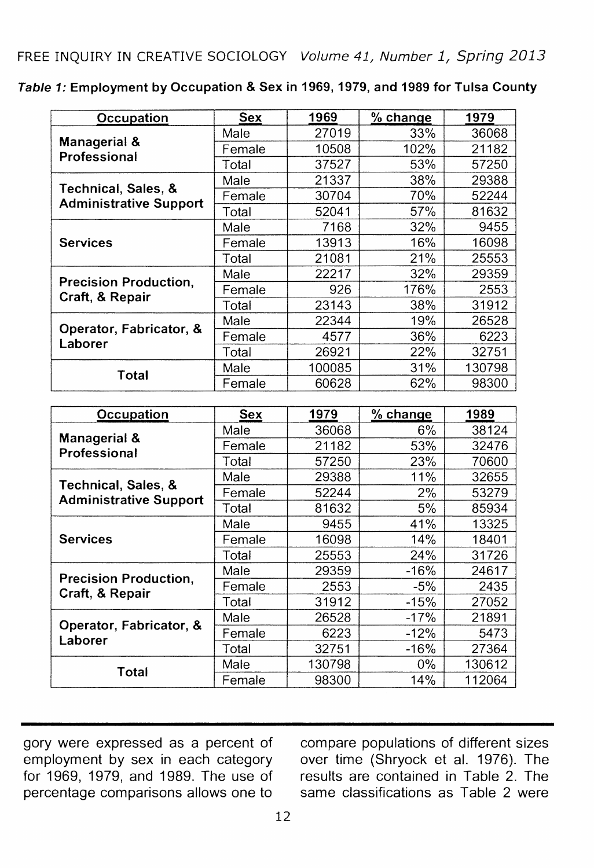| Table 1: Employment by Occupation & Sex in 1969, 1979, and 1989 for Tulsa County |  |  |  |
|----------------------------------------------------------------------------------|--|--|--|
|----------------------------------------------------------------------------------|--|--|--|

| Occupation                                           | <b>Sex</b> | 1969   | % change | 1979   |
|------------------------------------------------------|------------|--------|----------|--------|
|                                                      | Male       | 27019  | 33%      | 36068  |
| Managerial &<br>Professional                         | Female     | 10508  | 102%     | 21182  |
|                                                      | Total      | 37527  | 53%      | 57250  |
|                                                      | Male       | 21337  | 38%      | 29388  |
| Technical, Sales, &<br><b>Administrative Support</b> | Female     | 30704  | 70%      | 52244  |
|                                                      | Total      | 52041  | 57%      | 81632  |
| <b>Services</b>                                      | Male       | 7168   | 32%      | 9455   |
|                                                      | Female     | 13913  | 16%      | 16098  |
|                                                      | Total      | 21081  | 21%      | 25553  |
| <b>Precision Production.</b>                         | Male       | 22217  | 32%      | 29359  |
| Craft, & Repair                                      | Female     | 926    | 176%     | 2553   |
|                                                      | Total      | 23143  | 38%      | 31912  |
|                                                      | Male       | 22344  | 19%      | 26528  |
| Operator, Fabricator, &<br>Laborer                   | Female     | 4577   | 36%      | 6223   |
|                                                      | Total      | 26921  | 22%      | 32751  |
| Total                                                | Male       | 100085 | 31%      | 130798 |
|                                                      | Female     | 60628  | 62%      | 98300  |

| Occupation                    | Sex    | 1979   | $%$ change | 1989   |
|-------------------------------|--------|--------|------------|--------|
|                               | Male   | 36068  | $6\%$      | 38124  |
| Managerial &<br>Professional  | Female | 21182  | 53%        | 32476  |
|                               | Total  | 57250  | 23%        | 70600  |
| Technical, Sales, &           | Male   | 29388  | 11%        | 32655  |
| <b>Administrative Support</b> | Female | 52244  | 2%         | 53279  |
|                               | Total  | 81632  | 5%         | 85934  |
| <b>Services</b>               | Male   | 9455   | 41%        | 13325  |
|                               | Female | 16098  | 14%        | 18401  |
|                               | Total  | 25553  | 24%        | 31726  |
| <b>Precision Production.</b>  | Male   | 29359  | -16%       | 24617  |
| Craft, & Repair               | Female | 2553   | -5%        | 2435   |
|                               | Total  | 31912  | -15%       | 27052  |
| Operator, Fabricator, &       | Male   | 26528  | $-17%$     | 21891  |
| Laborer                       | Female | 6223   | $-12%$     | 5473   |
|                               | Total  | 32751  | -16%       | 27364  |
| Total                         | Male   | 130798 | $0\%$      | 130612 |
|                               | Female | 98300  | 14%        | 112064 |

gory were expressed as a percent of employment by sex in each category for 1969, 1979, and 1989. The use of percentage comparisons allows one to

compare populations of different sizes over time (Shryock et al. 1976). The results are contained in Table 2. The same classifications as Table 2 were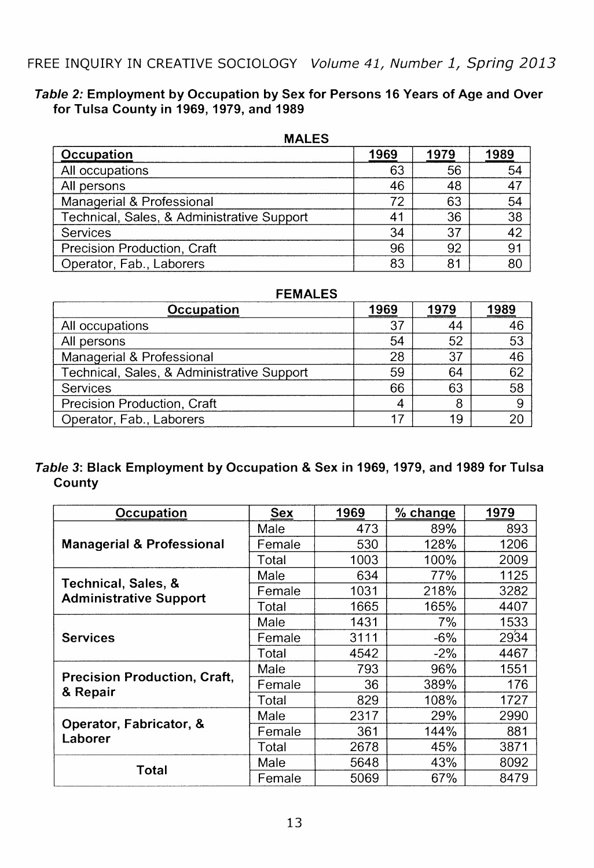#### **Table 2: Employment by Occupation by Sex for Persons 16 Years of Age and Over for Tulsa County in 1969, 1979, and 1989**

| 111 ALLJ                                   |      |      |      |  |  |
|--------------------------------------------|------|------|------|--|--|
| Occupation                                 | 1969 | 1979 | 1989 |  |  |
| All occupations                            | 63   | 56   | 54   |  |  |
| All persons                                | 46   | 48   | 47   |  |  |
| Managerial & Professional                  | 72   | 63   | 54   |  |  |
| Technical, Sales, & Administrative Support | 41   | 36   | 38   |  |  |
| Services                                   | 34   | 37   | 42   |  |  |
| Precision Production, Craft                | 96   | 92   | 91   |  |  |
| Operator, Fab., Laborers                   | 83   | 81   | 80   |  |  |

| <b>FEMALES</b>                             |      |      |      |  |  |
|--------------------------------------------|------|------|------|--|--|
| Occupation                                 | 1969 | 1979 | 1989 |  |  |
| All occupations                            | 37   | 44   | 46   |  |  |
| All persons                                | 54   | 52   | 53   |  |  |
| Managerial & Professional                  | 28   | 37   | 46   |  |  |
| Technical, Sales, & Administrative Support | 59   | 64   | 62   |  |  |
| Services                                   | 66   | 63   | 58   |  |  |
| Precision Production, Craft                | 4    | ጸ    | 9    |  |  |
| Operator, Fab., Laborers                   | 17   | 19   | 20   |  |  |

### **Table 3: Black Employment by Occupation & Sex in 1969, 1979, and 1989 for Tulsa County**

| Occupation                                           | Sex    | 1969 | % change | 1979 |
|------------------------------------------------------|--------|------|----------|------|
|                                                      | Male   | 473  | 89%      | 893  |
| <b>Managerial &amp; Professional</b>                 | Female | 530  | 128%     | 1206 |
|                                                      | Total  | 1003 | 100%     | 2009 |
|                                                      | Male   | 634  | 77%      | 1125 |
| Technical, Sales, &<br><b>Administrative Support</b> | Female | 1031 | 218%     | 3282 |
|                                                      | Total  | 1665 | 165%     | 4407 |
| <b>Services</b>                                      | Male   | 1431 | 7%       | 1533 |
|                                                      | Female | 3111 | $-6%$    | 2934 |
|                                                      | Total  | 4542 | $-2\%$   | 4467 |
| Precision Production, Craft,                         | Male   | 793  | 96%      | 1551 |
| & Repair                                             | Female | 36   | 389%     | 176  |
|                                                      | Total  | 829  | 108%     | 1727 |
|                                                      | Male   | 2317 | 29%      | 2990 |
| Operator, Fabricator, &<br>Laborer                   | Female | 361  | 144%     | 881  |
|                                                      | Total  | 2678 | 45%      | 3871 |
| Total                                                | Male   | 5648 | 43%      | 8092 |
|                                                      | Female | 5069 | 67%      | 8479 |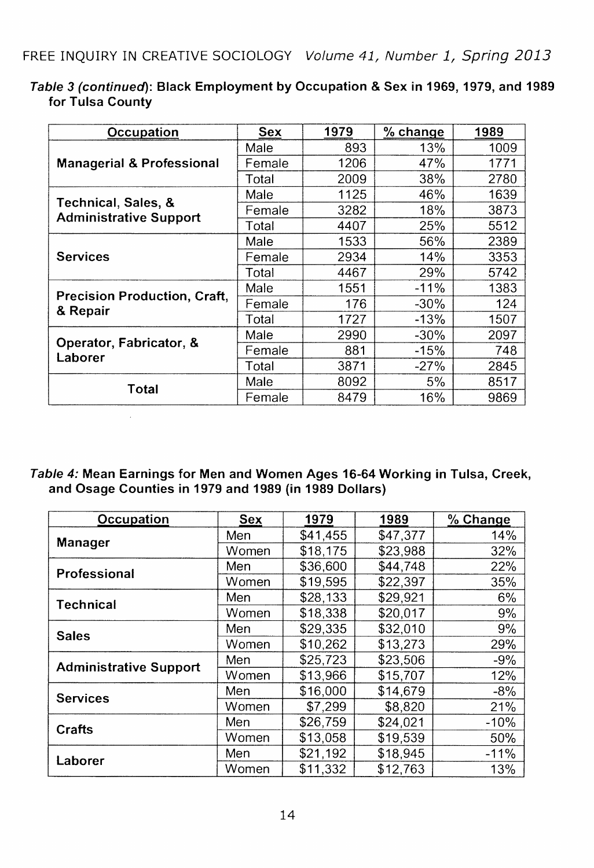| Occupation                                           | Sex    | 1979 | $%$ change | 1989 |
|------------------------------------------------------|--------|------|------------|------|
|                                                      | Male   | 893  | 13%        | 1009 |
| <b>Managerial &amp; Professional</b>                 | Female | 1206 | 47%        | 1771 |
|                                                      | Total  | 2009 | 38%        | 2780 |
|                                                      | Male   | 1125 | 46%        | 1639 |
| Technical, Sales, &<br><b>Administrative Support</b> | Female | 3282 | 18%        | 3873 |
|                                                      | Total  | 4407 | 25%        | 5512 |
| <b>Services</b>                                      | Male   | 1533 | 56%        | 2389 |
|                                                      | Female | 2934 | 14%        | 3353 |
|                                                      | Total  | 4467 | 29%        | 5742 |
| <b>Precision Production, Craft,</b>                  | Male   | 1551 | $-11%$     | 1383 |
| & Repair                                             | Female | 176  | -30%       | 124  |
|                                                      | Total  | 1727 | $-13%$     | 1507 |
| Operator, Fabricator, &                              | Male   | 2990 | $-30\%$    | 2097 |
| Laborer                                              | Female | 881  | $-15%$     | 748  |
|                                                      | Total  | 3871 | $-27%$     | 2845 |
| Total                                                | Male   | 8092 | 5%         | 8517 |
|                                                      | Female | 8479 | 16%        | 9869 |

Table 3 (continued): Black Employment by Occupation & Sex in 1969, 1979, and 1989 for Tulsa County

Table 4: Mean Earnings for Men and Women Ages 16-64 Working in Tulsa, Creek, and Osage Counties in 1979 and 1989 (in 1989 Dollars)

 $\bar{\alpha}$ 

| Occupation                    | Sex   | 1979     | 1989     | % Change |  |
|-------------------------------|-------|----------|----------|----------|--|
| <b>Manager</b>                | Men   | \$41,455 | \$47,377 | 14%      |  |
|                               | Women | \$18.175 | \$23.988 | 32%      |  |
| Professional                  | Men   | \$36,600 | \$44,748 | 22%      |  |
|                               | Women | \$19,595 | \$22,397 | 35%      |  |
| Technical                     | Men   | \$28.133 | \$29.921 | 6%       |  |
|                               | Women | \$18,338 | \$20,017 | 9%       |  |
| <b>Sales</b>                  | Men   | \$29,335 | \$32,010 | 9%       |  |
|                               | Women | \$10,262 | \$13,273 | 29%      |  |
| <b>Administrative Support</b> | Men   | \$25.723 | \$23.506 | $-9%$    |  |
|                               | Women | \$13,966 | \$15,707 | 12%      |  |
| <b>Services</b>               | Men   | \$16,000 | \$14,679 | $-8%$    |  |
|                               | Women | \$7,299  | \$8,820  | 21%      |  |
| Crafts                        | Men   | \$26,759 | \$24.021 | $-10%$   |  |
|                               | Women | \$13,058 | \$19,539 | 50%      |  |
| Laborer                       | Men   | \$21,192 | \$18,945 | $-11%$   |  |
|                               | Women | \$11,332 | \$12,763 | 13%      |  |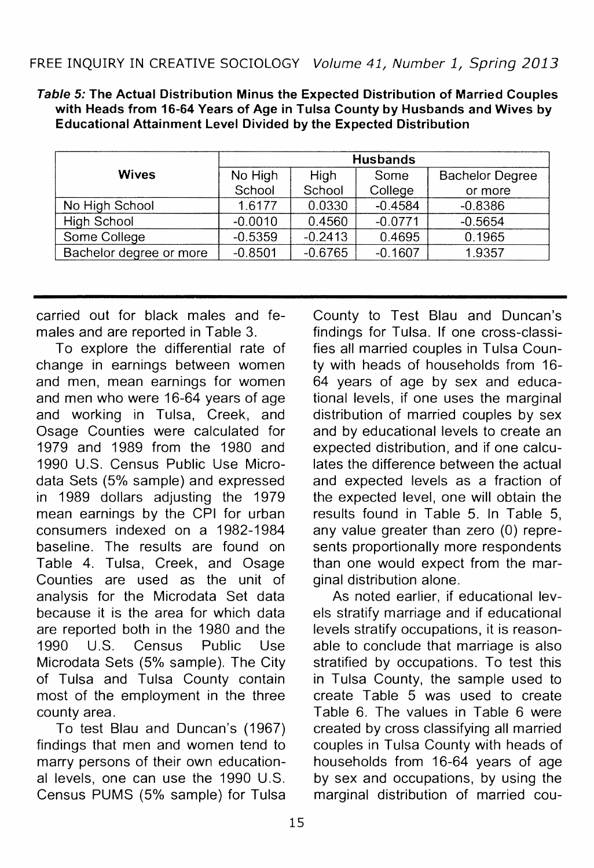Table 5: The Actual Distribution Minus the Expected Distribution of Married Couples with Heads from 16-64 Years of Age in Tulsa County by Husbands and Wives by Educational Attainment Level Divided by the Expected Distribution

|                         | <b>Husbands</b> |           |           |                        |  |
|-------------------------|-----------------|-----------|-----------|------------------------|--|
| <b>Wives</b>            | No High         | High      | Some      | <b>Bachelor Degree</b> |  |
|                         | School          | School    | College   | or more                |  |
| No High School          | 1.6177          | 0.0330    | $-0.4584$ | $-0.8386$              |  |
| High School             | $-0.0010$       | 0.4560    | $-0.0771$ | $-0.5654$              |  |
| Some College            | $-0.5359$       | $-0.2413$ | 0.4695    | 0.1965                 |  |
| Bachelor degree or more | $-0.8501$       | $-0.6765$ | $-0.1607$ | 1.9357                 |  |

carried out for black males and females and are reported in Table 3.

To explore the differential rate of change in earnings between women and men, mean earnings for women and men who were 16-64 years of age and working in Tulsa, Creek, and Osage Counties were calculated for 1979 and 1989 from the 1980 and 1990 U.S. Census Public Use Microdata Sets (5% sample) and expressed in 1989 dollars adjusting the 1979 mean earnings by the CPI for urban consumers indexed on a 1982-1984 baseline. The results are found on Table 4. Tulsa, Creek, and Osage Counties are used as the unit of analysis for the Microdata Set data because it is the area for which data are reported both in the 1980 and the 1990 U.S. Census Public Use Microdata Sets (5% sample). The City of Tulsa and Tulsa County contain most of the employment in the three county area.

To test Blau and Duncan's (1967) findings that men and women tend to marry persons of their own educational levels, one can use the 1990 U.S. Census PUMS (5% sample) for Tulsa

County to Test Blau and Duncan's findings for Tulsa. If one cross-classifies all married couples in Tulsa County with heads of households from 16- 64 years of age by sex and educational levels, if one uses the marginal distribution of married couples by sex and by educational levels to create an expected distribution, and if one calculates the difference between the actual and expected levels as a fraction of the expected level, one will obtain the results found in Table 5. In Table 5, any value greater than zero (0) represents proportionally more respondents than one would expect from the marginal distribution alone.

As noted earlier, if educational levels stratify marriage and if educational levels stratify occupations, it is reasonable to conclude that marriage is also stratified by occupations. To test this in Tulsa County, the sample used to create Table 5 was used to create Table 6. The values in Table 6 were created by cross classifying all married couples in Tulsa County with heads of households from 16-64 years of age by sex and occupations, by using the marginal distribution of married cou-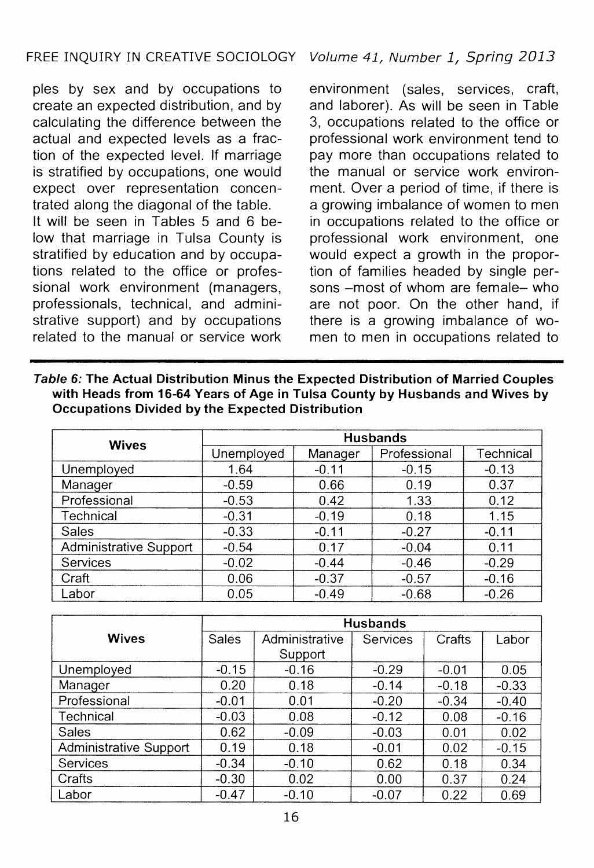# FREE INQUIRY IN CREATIVE SOCIOLOGY Volume 41, Number 1, Spring 2013

pies by sex and by occupations to create an expected distribution, and by calculating the difference between the actual and expected levels as a fraction of the expected level. If marriage is stratified by occupations, one would expect over representation concentrated along the diagonal of the table. It will be seen in Tables 5 and 6 below that marriage in Tulsa County is stratified by education and by occupations related to the office or professional work environment (managers, professionals, technical, and administrative support) and by occupations related to the manual or service work

environment (sales, services, craft, and laborer). As will be seen in Table 3, occupations related to the office or professional work environment tend to pay more than occupations related to the manual or service work environment. Over a period of time, if there is a growing imbalance of women to men in occupations related to the office or professional work environment, one would expect a growth in the proportion of families headed by single persons -most of whom are female- who are not poor. On the other hand, if there is a growing imbalance of women to men in occupations related to

| Table 6: The Actual Distribution Minus the Expected Distribution of Married Couples |
|-------------------------------------------------------------------------------------|
| with Heads from 16-64 Years of Age in Tulsa County by Husbands and Wives by         |
| Occupations Divided by the Expected Distribution                                    |

| <b>Wives</b>           | <b>Husbands</b> |         |              |           |  |  |
|------------------------|-----------------|---------|--------------|-----------|--|--|
|                        | Unemployed      | Manager | Professional | Technical |  |  |
| Unemployed             | 1.64            | $-0.11$ | $-0.15$      | $-0.13$   |  |  |
| Manager                | $-0.59$         | 0.66    | 0.19         | 0.37      |  |  |
| Professional           | $-0.53$         | 0.42    | 1.33         | 0.12      |  |  |
| Technical              | $-0.31$         | $-0.19$ | 0.18         | 1.15      |  |  |
| Sales                  | $-0.33$         | $-0.11$ | $-0.27$      | $-0.11$   |  |  |
| Administrative Support | $-0.54$         | 0.17    | $-0.04$      | 0.11      |  |  |
| Services               | $-0.02$         | $-0.44$ | $-0.46$      | $-0.29$   |  |  |
| Craft                  | 0.06            | $-0.37$ | $-0.57$      | $-0.16$   |  |  |
| Labor                  | 0.05            | $-0.49$ | $-0.68$      | $-0.26$   |  |  |

|                        | <b>Husbands</b> |                |          |         |         |  |
|------------------------|-----------------|----------------|----------|---------|---------|--|
| <b>Wives</b>           | Sales           | Administrative | Services | Crafts  | Labor   |  |
|                        |                 | Support        |          |         |         |  |
| Unemployed             | $-0.15$         | $-0.16$        | $-0.29$  | $-0.01$ | 0.05    |  |
| Manager                | 0.20            | 0.18           | $-0.14$  | $-0.18$ | $-0.33$ |  |
| Professional           | $-0.01$         | 0.01           | $-0.20$  | $-0.34$ | $-0.40$ |  |
| Technical              | $-0.03$         | 0.08           | $-0.12$  | 0.08    | $-0.16$ |  |
| Sales                  | 0.62            | $-0.09$        | $-0.03$  | 0.01    | 0.02    |  |
| Administrative Support | 0.19            | 0.18           | $-0.01$  | 0.02    | $-0.15$ |  |
| Services               | $-0.34$         | $-0.10$        | 0.62     | 0.18    | 0.34    |  |
| Crafts                 | $-0.30$         | 0.02           | 0.00     | 0.37    | 0.24    |  |
| Labor                  | $-0.47$         | $-0.10$        | $-0.07$  | 0.22    | 0.69    |  |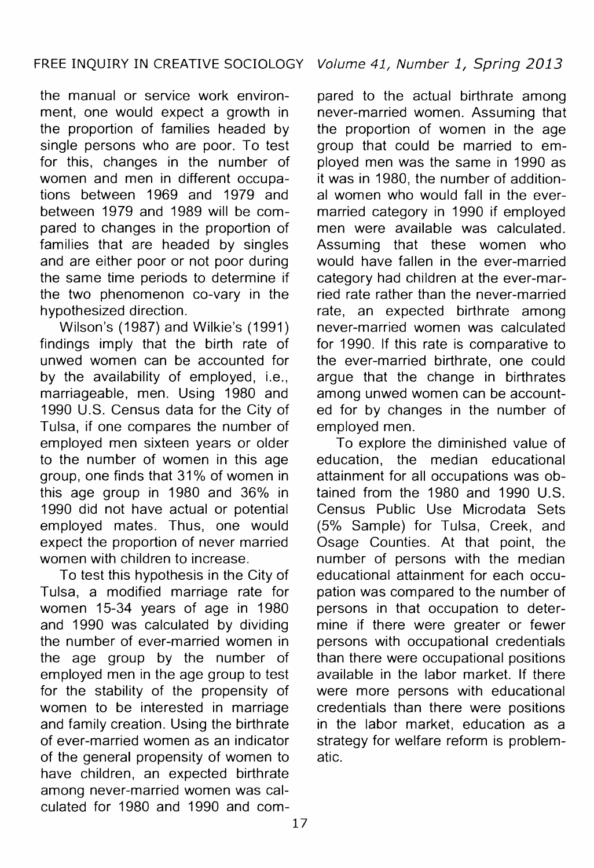the manual or service work environment, one would expect a growth in the proportion of families headed by single persons who are poor. To test for this, changes in the number of women and men in different occupations between 1969 and 1979 and between 1979 and 1989 will be compared to changes in the proportion of families that are headed by singles and are either poor or not poor during the same time periods to determine if the two phenomenon co-vary in the hypothesized direction.

Wilson's (1987) and Wilkie's (1991) findings imply that the birth rate of unwed women can be accounted for by the availability of employed, i.e., marriageable, men. Using 1980 and 1990 U.S. Census data for the City of Tulsa, if one compares the number of employed men sixteen years or older to the number of women in this age group, one finds that 31 % of women in this age group in 1980 and 36% in 1990 did not have actual or potential employed mates. Thus, one would expect the proportion of never married women with children to increase.

To test this hypothesis in the City of Tulsa, a modified marriage rate for women 15-34 years of age in 1980 and 1990 was calculated by dividing the number of ever-married women in the age group by the number of employed men in the age group to test for the stability of the propensity of women to be interested in marriage and family creation. Using the birthrate of ever-married women as an indicator of the general propensity of women to have children, an expected birthrate among never-married women was calculated for 1980 and 1990 and compared to the actual birthrate among never-married women. Assuming that the proportion of women in the age group that could be married to employed men was the same in 1990 as it was in 1980, the number of additional women who would fall in the evermarried category in 1990 if employed men were available was calculated. Assuming that these women who would have fallen in the ever-married category had children at the ever-married rate rather than the never-married rate, an expected birthrate among never-married women was calculated for 1990. If this rate is comparative to the ever-married birthrate, one could argue that the change in birthrates among unwed women can be accounted for by changes in the number of employed men.

To explore the diminished value of education, the median educational attainment for all occupations was obtained from the 1980 and 1990 U.S. Census Public Use Microdata Sets (5% Sample) for Tulsa, Creek, and Osage Counties. At that point, the number of persons with the median educational attainment for each occupation was compared to the number of persons in that occupation to determine if there were greater or fewer persons with occupational credentials than there were occupational positions available in the labor market. If there were more persons with educational credentials than there were positions in the labor market, education as a strategy for welfare reform is problematic.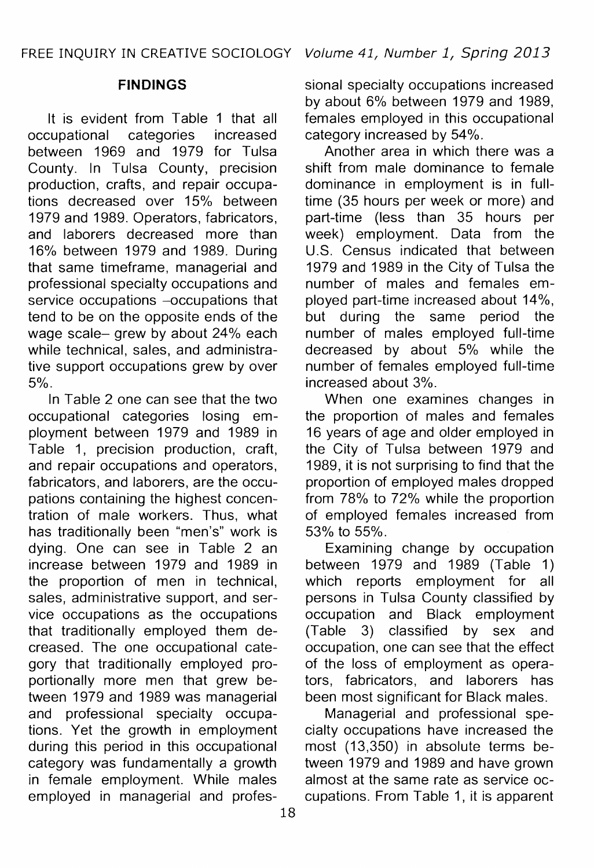### **FINDINGS**

It is evident from Table 1 that all<br>cupational categories increased occupational categories increased between 1969 and 1979 for Tulsa County. In Tulsa County, precision production, crafts, and repair occupations decreased over 15% between 1979 and 1989. Operators, fabricators, and laborers decreased more than 16% between 1979 and 1989. During that same timeframe, managerial and professional specialty occupations and service occupations -occupations that tend to be on the opposite ends of the wage scale- grew by about 24% each while technical, sales, and administrative support occupations grew by over 5%.

In Table 2 one can see that the two occupational categories losing employment between 1979 and 1989 in Table 1, precision production, craft, and repair occupations and operators, fabricators, and laborers, are the occupations containing the highest concentration of male workers. Thus, what has traditionally been "men's" work is dying. One can see in Table 2 an increase between 1979 and 1989 in the proportion of men in technical, sales, administrative support, and service occupations as the occupations that traditionally employed them decreased. The one occupational category that traditionally employed proportionally more men that grew between 1979 and 1989 was managerial and professional specialty occupations. Yet the growth in employment during this period in this occupational category was fundamentally a growth in female employment. While males employed in managerial and professional specialty occupations increased by about 6% between 1979 and 1989, females employed in this occupational category increased by 54%.

Another area in which there was a shift from male dominance to female dominance in employment is in fulltime (35 hours per week or more) and part-time (less than 35 hours per week) employment. Data from the U.S. Census indicated that between 1979 and 1989 in the City of Tulsa the number of males and females employed part-time increased about 14%, but during the same period the number of males employed full-time decreased by about 5% while the number of females employed full-time increased about 3%.

When one examines changes in the proportion of males and females 16 years of age and older employed in the City of Tulsa between 1979 and 1989, it is not surprising to find that the proportion of employed males dropped from 78% to 72% while the proportion of employed females increased from 53% to 55%.

Examining change by occupation between 1979 and 1989 (Table 1) which reports employment for all persons in Tulsa County classified by occupation and Black employment (Table 3) classified by sex and occupation, one can see that the effect of the loss of employment as operators, fabricators, and laborers has been most significant for Black males.

Managerial and professional specialty occupations have increased the most (13,350) in absolute terms between 1979 and 1989 and have grown almost at the same rate as service occupations. From Table 1, it is apparent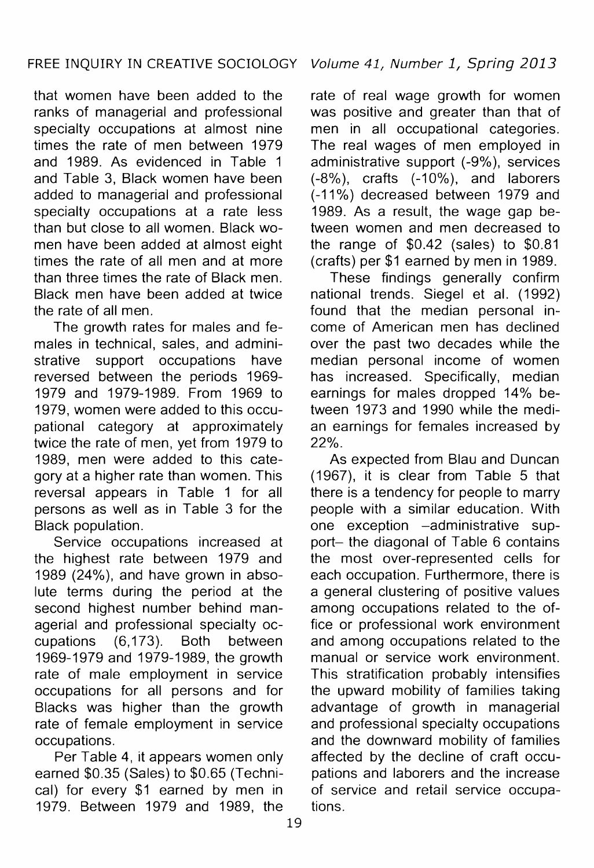that women have been added to the ranks of managerial and professional specialty occupations at almost nine times the rate of men between 1979 and 1989. As evidenced in Table 1 and Table 3, Black women have been added to managerial and professional specialty occupations at a rate less than but close to all women. Black women have been added at almost eight times the rate of all men and at more than three times the rate of Black men. Black men have been added at twice the rate of all men.

The growth rates for males and females in technical, sales, and administrative support occupations have reversed between the periods 1969- 1979 and 1979-1989. From 1969 to 1979, women were added to this occupational category at approximately twice the rate of men, yet from 1979 to 1989, men were added to this category at a higher rate than women. This reversal appears in Table 1 for all persons as well as in Table 3 for the Black population.

Service occupations increased at the highest rate between 1979 and 1989 (24%), and have grown in absolute terms during the period at the second highest number behind managerial and professional specialty occupations (6,173). Both between 1969-1979 and 1979-1989, the growth rate of male employment in service occupations for all persons and for Blacks was higher than the growth rate of female employment in service occupations.

Per Table 4, it appears women only earned \$0.35 (Sales) to \$0.65 (Technical) for every \$1 earned by men in 1979. Between 1979 and 1989, the

rate of real wage growth for women was positive and greater than that of men in all occupational categories. The real wages of men employed in administrative support (-9% ), services (-8%), crafts (-10%), and laborers (-11%) decreased between 1979 and 1989. As a result, the wage gap between women and men decreased to the range of \$0.42 (sales) to \$0.81 (crafts) per \$1 earned by men in 1989.

These findings generally confirm national trends. Siegel et al. (1992) found that the median personal income of American men has declined over the past two decades while the median personal income of women has increased. Specifically, median earnings for males dropped 14% between 1973 and 1990 while the median earnings for females increased by 22%.

As expected from Blau and Duncan ( 1967), it is clear from Table 5 that there is a tendency for people to marry people with a similar education. With one exception -administrative support- the diagonal of Table 6 contains the most over-represented cells for each occupation. Furthermore, there is a general clustering of positive values among occupations related to the office or professional work environment and among occupations related to the manual or service work environment. This stratification probably intensifies the upward mobility of families taking advantage of growth in managerial and professional specialty occupations and the downward mobility of families affected by the decline of craft occupations and laborers and the increase of service and retail service occupations.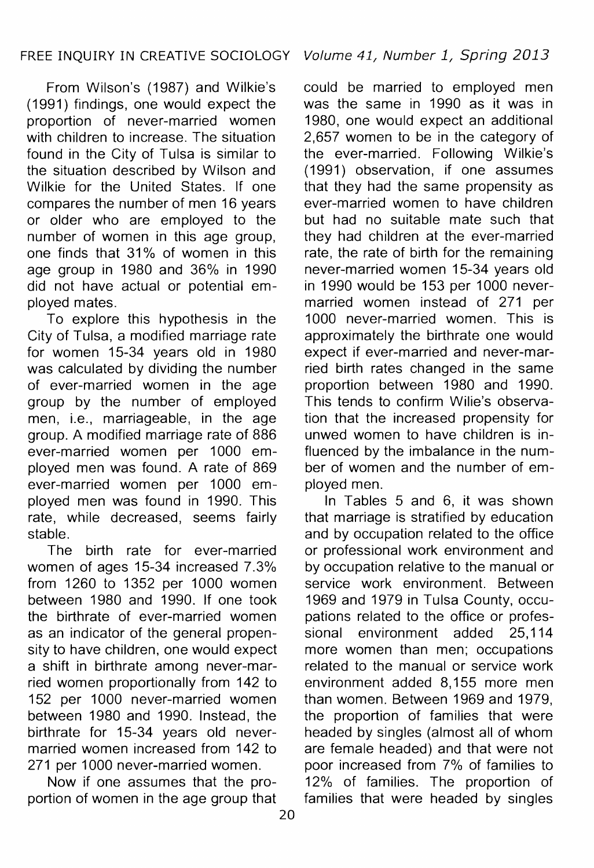From Wilson's (1987) and Wilkie's (1991) findings, one would expect the proportion of never-married women with children to increase. The situation found in the City of Tulsa is similar to the situation described by Wilson and Wilkie for the United States. If one compares the number of men 16 years or older who are employed to the number of women in this age group, one finds that 31 % of women in this age group in 1980 and 36% in 1990 did not have actual or potential employed mates.

To explore this hypothesis in the City of Tulsa, a modified marriage rate for women 15-34 years old in 1980 was calculated by dividing the number of ever-married women in the age group by the number of employed men, i.e., marriageable, in the age group. A modified marriage rate of 886 ever-married women per 1000 employed men was found. A rate of 869 ever-married women per 1000 employed men was found in 1990. This rate, while decreased, seems fairly stable.

The birth rate for ever-married women of ages 15-34 increased 7.3% from 1260 to 1352 per 1000 women between 1980 and 1990. If one took the birthrate of ever-married women as an indicator of the general propensity to have children, one would expect a shift in birthrate among never-married women proportionally from 142 to 152 per 1000 never-married women between 1980 and 1990. Instead, the birthrate for 15-34 years old nevermarried women increased from 142 to 271 per 1000 never-married women.

Now if one assumes that the proportion of women in the age group that

20

could be married to employed men was the same in 1990 as it was in 1980, one would expect an additional 2,657 women to be in the category of the ever-married. Following Wilkie's (1991) observation, if one assumes that they had the same propensity as ever-married women to have children but had no suitable mate such that they had children at the ever-married rate, the rate of birth for the remaining never-married women 15-34 years old in 1990 would be 153 per 1000 nevermarried women instead of 271 per 1000 never-married women. This is approximately the birthrate one would expect if ever-married and never-married birth rates changed in the same proportion between 1980 and 1990. This tends to confirm Wilie's observation that the increased propensity for unwed women to have children is influenced by the imbalance in the number of women and the number of employed men.

In Tables 5 and 6, it was shown that marriage is stratified by education and by occupation related to the office or professional work environment and by occupation relative to the manual or service work environment. Between 1969 and 1979 in Tulsa County, occupations related to the office or professional environment added 25,114 more women than men; occupations related to the manual or service work environment added 8,155 more men than women. Between 1969 and 1979, the proportion of families that were headed by singles (almost all of whom are female headed) and that were not poor increased from 7% of families to 12% of families. The proportion of families that were headed by singles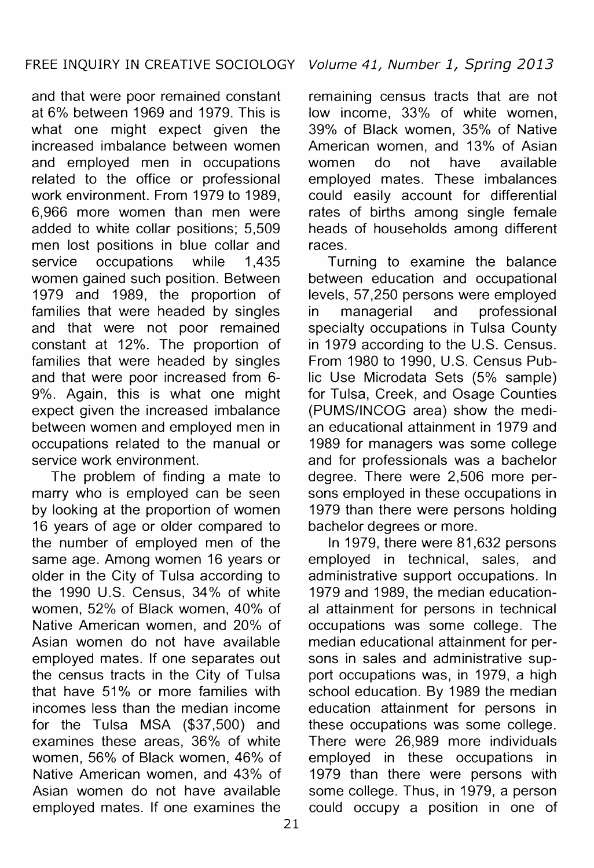and that were poor remained constant at 6% between 1969 and 1979. This is what one might expect given the increased imbalance between women and employed men in occupations related to the office or professional work environment. From 1979 to 1989, 6,966 more women than men were added to white collar positions; 5,509 men lost positions in blue collar and service occupations while 1.435 women gained such position. Between 1979 and 1989, the proportion of families that were headed by singles and that were not poor remained constant at 12%. The proportion of families that were headed by singles and that were poor increased from 6- 9%. Again, this is what one might expect given the increased imbalance between women and employed men in occupations related to the manual or service work environment.

The problem of finding a mate to marry who is employed can be seen by looking at the proportion of women 16 years of age or older compared to the number of employed men of the same age. Among women 16 years or older in the City of Tulsa according to the 1990 U.S. Census, 34% of white women, 52% of Black women, 40% of Native American women, and 20% of Asian women do not have available employed mates. If one separates out the census tracts in the City of Tulsa that have 51% or more families with incomes less than the median income for the Tulsa MSA (\$37,500) and examines these areas, 36% of white women, 56% of Black women, 46% of Native American women, and 43% of Asian women do not have available employed mates. If one examines the

remaining census tracts that are not low income, 33% of white women, 39% of Black women, 35% of Native American women, and 13% of Asian women do not have available employed mates. These imbalances could easily account for differential rates of births among single female heads of households among different races.

Turning to examine the balance between education and occupational levels, 57,250 persons were employed in managerial and professional specialty occupations in Tulsa County in 1979 according to the U.S. Census. From 1980 to 1990, U.S. Census Public Use Microdata Sets (5% sample) for Tulsa, Creek, and Osage Counties (PUMS/INCOG area) show the median educational attainment in 1979 and 1989 for managers was some college and for professionals was a bachelor degree. There were 2,506 more persons employed in these occupations in 1979 than there were persons holding bachelor degrees or more.

In 1979, there were 81,632 persons employed in technical, sales, and administrative support occupations. In 1979 and 1989, the median educational attainment for persons in technical occupations was some college. The median educational attainment for persons in sales and administrative support occupations was, in 1979, a high school education. By 1989 the median education attainment for persons in these occupations was some college. There were 26,989 more individuals employed in these occupations in 1979 than there were persons with some college. Thus, in 1979, a person could occupy a position in one of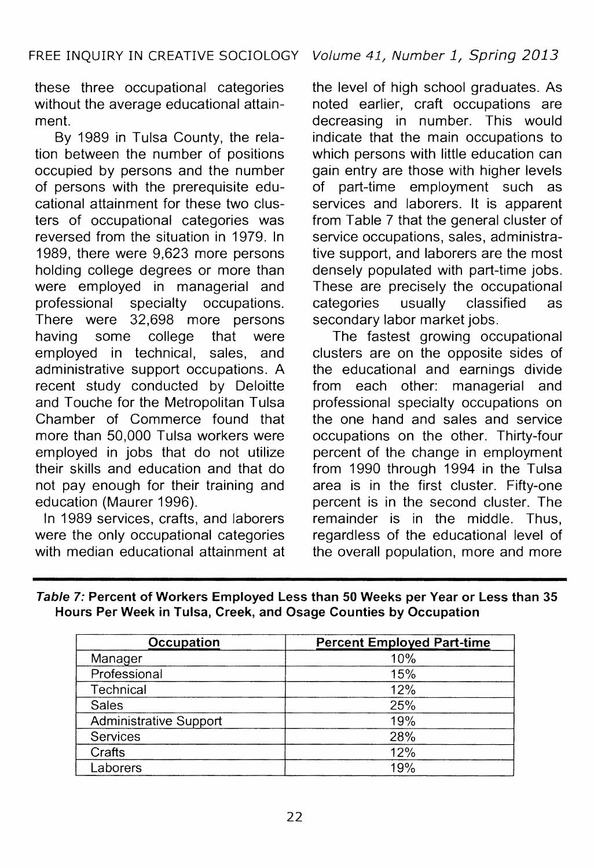these three occupational categories without the average educational attainment.

By 1989 in Tulsa County, the relation between the number of positions occupied by persons and the number of persons with the prerequisite educational attainment for these two clusters of occupational categories was reversed from the situation in 1979. In 1989, there were 9,623 more persons holding college degrees or more than were employed in managerial and<br>professional specialty occupations. occupations. There were 32,698 more persons having some college that were employed in technical, sales, and administrative support occupations. A recent study conducted by Deloitte and Touche for the Metropolitan Tulsa Chamber of Commerce found that more than 50,000 Tulsa workers were employed in jobs that do not utilize their skills and education and that do not pay enough for their training and education (Maurer 1996).

In 1989 services, crafts, and laborers were the only occupational categories with median educational attainment at

the level of high school graduates. As noted earlier, craft occupations are decreasing in number. This would indicate that the main occupations to which persons with little education can gain entry are those with higher levels of part-time employment such as services and laborers. It is apparent from Table 7 that the general cluster of service occupations, sales, administrative support, and laborers are the most densely populated with part-time jobs. These are precisely the occupational<br>categories usually classified as categories usually classified as secondary labor market jobs.

The fastest growing occupational clusters are on the opposite sides of the educational and earnings divide from each other: managerial and professional specialty occupations on the one hand and sales and service occupations on the other. Thirty-four percent of the change in employment from 1990 through 1994 in the Tulsa area is in the first cluster. Fifty-one percent is in the second cluster. The remainder is in the middle. Thus, regardless of the educational level of the overall population, more and more

| Table 7: Percent of Workers Employed Less than 50 Weeks per Year or Less than 35 |  |  |
|----------------------------------------------------------------------------------|--|--|
| Hours Per Week in Tulsa, Creek, and Osage Counties by Occupation                 |  |  |

| Occupation             | <b>Percent Employed Part-time</b> |
|------------------------|-----------------------------------|
| Manager                | 10%                               |
| Professional           | 15%                               |
| Technical              | 12%                               |
| Sales                  | 25%                               |
| Administrative Support | 19%                               |
| Services               | 28%                               |
| Crafts                 | 12%                               |
| Laborers               | 19%                               |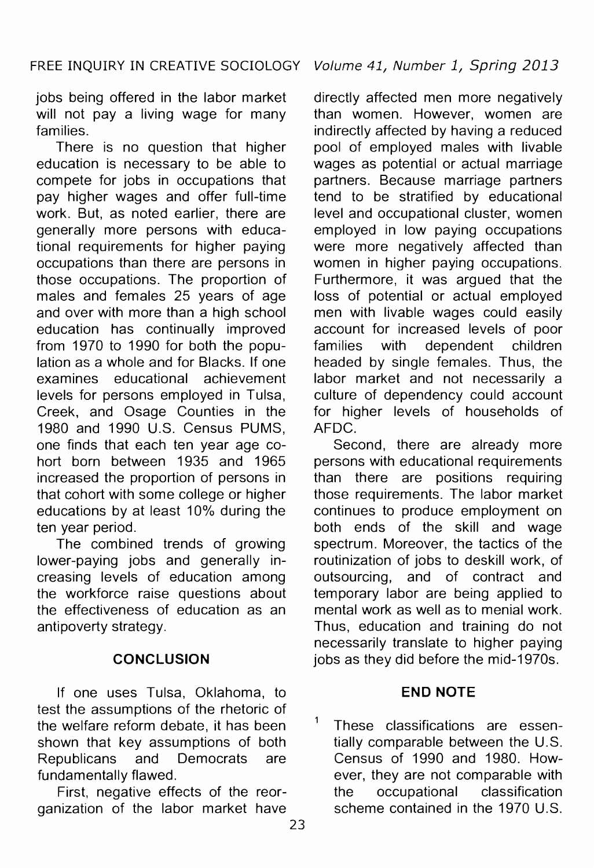jobs being offered in the labor market will not pay a living wage for many families.

There is no question that higher education is necessary to be able to compete for jobs in occupations that pay higher wages and offer full-time work. But, as noted earlier, there are generally more persons with educational requirements for higher paying occupations than there are persons in those occupations. The proportion of males and females 25 years of age and over with more than a high school education has continually improved from 1970 to 1990 for both the population as a whole and for Blacks. If one examines educational achievement levels for persons employed in Tulsa, Creek, and Osage Counties in the 1980 and 1990 U.S. Census PUMS, one finds that each ten year age cohort born between 1935 and 1965 increased the proportion of persons in that cohort with some college or higher educations by at least 10% during the ten year period.

The combined trends of growing lower-paying jobs and generally increasing levels of education among the workforce raise questions about the effectiveness of education as an antipoverty strategy.

# **CONCLUSION**

If one uses Tulsa, Oklahoma, to test the assumptions of the rhetoric of the welfare reform debate, it has been shown that key assumptions of both Republicans and Democrats are fundamentally flawed.

First, negative effects of the reorganization of the labor market have

directly affected men more negatively than women. However, women are indirectly affected by having a reduced pool of employed males with livable wages as potential or actual marriage partners. Because marriage partners tend to be stratified by educational level and occupational cluster, women employed in low paying occupations were more negatively affected than women in higher paying occupations. Furthermore, it was argued that the loss of potential or actual employed men with livable wages could easily account for increased levels of poor families with dependent children headed by single females. Thus, the labor market and not necessarily a culture of dependency could account for higher levels of households of AFDC.

Second, there are already more persons with educational requirements than there are positions requiring those requirements. The labor market continues to produce employment on both ends of the skill and wage spectrum. Moreover, the tactics of the routinization of jobs to deskill work, of outsourcing, and of contract and temporary labor are being applied to mental work as well as to menial work. Thus, education and training do not necessarily translate to higher paying jobs as they did before the mid-1970s.

# **END NOTE**

These classifications are essentially comparable between the U.S. Census of 1990 and 1980. However, they are not comparable with the occupational classification scheme contained in the 1970 U.S.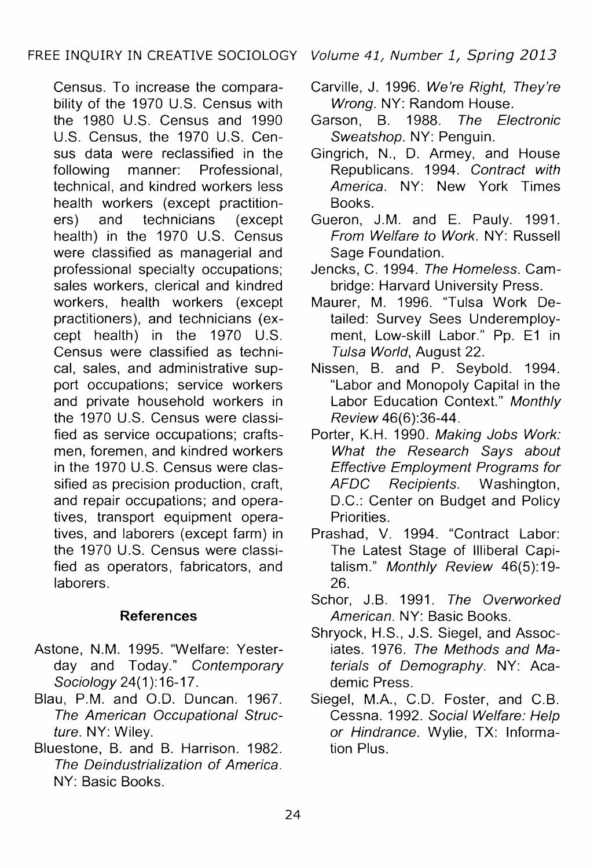Census. To increase the comparability of the 1970 U.S. Census with the 1980 U.S. Census and 1990 U.S. Census, the 1970 U.S. Census data were reclassified in the following manner: Professional, technical, and kindred workers less health workers (except practitioners) and technicians (except health) in the 1970 U.S. Census were classified as managerial and professional specialty occupations; sales workers, clerical and kindred workers, health workers (except practitioners), and technicians (except health) in the 1970 U.S. Census were classified as technical, sales, and administrative support occupations; service workers and private household workers in the 1970 U.S. Census were classified as service occupations; craftsmen, foremen, and kindred workers in the 1970 U.S. Census were classified as precision production, craft, and repair occupations; and operatives, transport equipment operatives, and laborers (except farm) in the 1970 U.S. Census were classified as operators, fabricators, and laborers.

# **References**

- Astone, N.M. 1995. "Welfare: Yesterday and Today." Contemporary Sociology 24(1):16-17.
- Blau, P.M. and 0.0. Duncan. 1967. The American Occupational Structure. NY: Wiley.
- Bluestone, B. and B. Harrison. 1982. The Deindustrialization of America. NY: Basic Books.
- Carville, J. 1996. We're Right, They're Wrong. NY: Random House.
- Garson, B. 1988. The Electronic Sweatshop. NY: Penguin.
- Gingrich, N., D. Armey, and House Republicans. 1994. Contract with America. NY: New York Times Books.
- Gueron, J.M. and E. Pauly. 1991. From Welfare to Work. NY: Russell Sage Foundation.
- Jencks, C. 1994. The Homeless. Cambridge: Harvard University Press.
- Maurer, M. 1996. "Tulsa Work Detailed: Survey Sees Underemployment, Low-skill Labor." Pp. E1 in Tulsa World, August 22.
- Nissen, B. and P. Seybold. 1994. "Labor and Monopoly Capital in the Labor Education Context." Monthly Review 46(6):36-44.
- Porter, K.H. 1990. Making Jobs Work: What the Research Says about **Effective Employment Programs for<br>AFDC** Recipients. Washington. AFDC Recipients. D.C.: Center on Budget and Policy Priorities.
- Prashad, V. 1994. "Contract Labor: The Latest Stage of Illiberal Capitalism." Monthly Review 46(5):19-26.
- Schor, J.B. 1991. The Overworked American. NY: Basic Books.
- Shryock, H.S., J.S. Siegel, and Associates. 1976. The Methods and Materials of Demography. NY: Academic Press.
- Siegel, M.A., C.D. Foster, and C.B. Cessna. 1992. Social Welfare: Help or Hindrance. Wylie, TX: Information Plus.